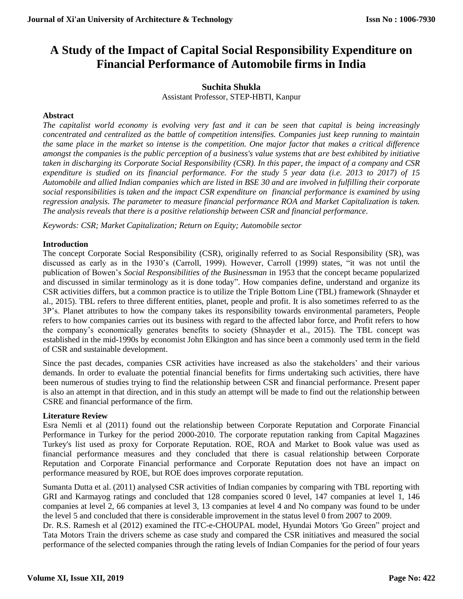# **A Study of the Impact of Capital Social Responsibility Expenditure on Financial Performance of Automobile firms in India**

#### **Suchita Shukla**

Assistant Professor, STEP-HBTI, Kanpur

#### **Abstract**

*The capitalist world economy is evolving very fast and it can be seen that capital is being increasingly concentrated and centralized as the battle of competition intensifies. Companies just keep running to maintain the same place in the market so intense is the competition. One major factor that makes a critical difference amongst the companies is the public perception of a business's value systems that are best exhibited by initiative taken in discharging its Corporate Social Responsibility (CSR). In this paper, the impact of a company and CSR expenditure is studied on its financial performance. For the study 5 year data (i.e. 2013 to 2017) of 15 Automobile and allied Indian companies which are listed in BSE 30 and are involved in fulfilling their corporate social responsibilities is taken and the impact CSR expenditure on financial performance is examined by using regression analysis. The parameter to measure financial performance ROA and Market Capitalization is taken. The analysis reveals that there is a positive relationship between CSR and financial performance.*

*Keywords: CSR; Market Capitalization; Return on Equity; Automobile sector*

### **Introduction**

The concept Corporate Social Responsibility (CSR), originally referred to as Social Responsibility (SR), was discussed as early as in the 1930's (Carroll, 1999). However, Carroll (1999) states, "it was not until the publication of Bowen's *Social Responsibilities of the Businessman* in 1953 that the concept became popularized and discussed in similar terminology as it is done today". How companies define, understand and organize its CSR activities differs, but a common practice is to utilize the Triple Bottom Line (TBL) framework (Shnayder et al., 2015). TBL refers to three different entities, planet, people and profit. It is also sometimes referred to as the 3P's. Planet attributes to how the company takes its responsibility towards environmental parameters, People refers to how companies carries out its business with regard to the affected labor force, and Profit refers to how the company's economically generates benefits to society (Shnayder et al., 2015). The TBL concept was established in the mid-1990s by economist John Elkington and has since been a commonly used term in the field of CSR and sustainable development.

Since the past decades, companies CSR activities have increased as also the stakeholders' and their various demands. In order to evaluate the potential financial benefits for firms undertaking such activities, there have been numerous of studies trying to find the relationship between CSR and financial performance. Present paper is also an attempt in that direction, and in this study an attempt will be made to find out the relationship between CSRE and financial performance of the firm.

#### **Literature Review**

Esra Nemli et al (2011) found out the relationship between Corporate Reputation and Corporate Financial Performance in Turkey for the period 2000-2010. The corporate reputation ranking from Capital Magazines Turkey's list used as proxy for Corporate Reputation. ROE, ROA and Market to Book value was used as financial performance measures and they concluded that there is casual relationship between Corporate Reputation and Corporate Financial performance and Corporate Reputation does not have an impact on performance measured by ROE, but ROE does improves corporate reputation.

Sumanta Dutta et al. (2011) analysed CSR activities of Indian companies by comparing with TBL reporting with GRI and Karmayog ratings and concluded that 128 companies scored 0 level, 147 companies at level 1, 146 companies at level 2, 66 companies at level 3, 13 companies at level 4 and No company was found to be under the level 5 and concluded that there is considerable improvement in the status level 0 from 2007 to 2009.

Dr. R.S. Ramesh et al (2012) examined the ITC-e-CHOUPAL model, Hyundai Motors 'Go Green" project and Tata Motors Train the drivers scheme as case study and compared the CSR initiatives and measured the social performance of the selected companies through the rating levels of Indian Companies for the period of four years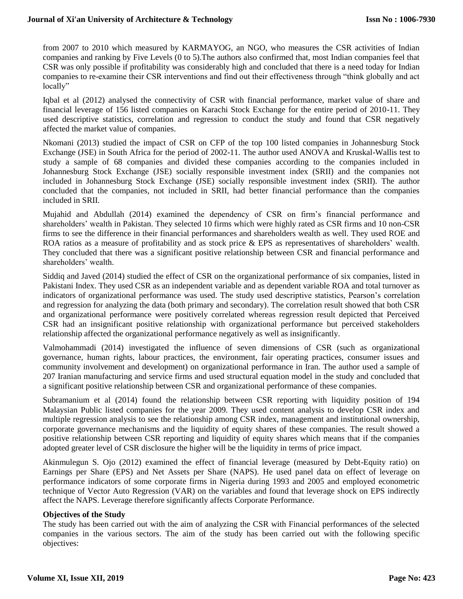#### **Journal of Xi'an University of Architecture & Technology**

from 2007 to 2010 which measured by KARMAYOG, an NGO, who measures the CSR activities of Indian companies and ranking by Five Levels (0 to 5).The authors also confirmed that, most Indian companies feel that CSR was only possible if profitability was considerably high and concluded that there is a need today for Indian companies to re-examine their CSR interventions and find out their effectiveness through "think globally and act locally"

Iqbal et al (2012) analysed the connectivity of CSR with financial performance, market value of share and financial leverage of 156 listed companies on Karachi Stock Exchange for the entire period of 2010-11. They used descriptive statistics, correlation and regression to conduct the study and found that CSR negatively affected the market value of companies.

Nkomani (2013) studied the impact of CSR on CFP of the top 100 listed companies in Johannesburg Stock Exchange (JSE) in South Africa for the period of 2002-11. The author used ANOVA and Kruskal-Wallis test to study a sample of 68 companies and divided these companies according to the companies included in Johannesburg Stock Exchange (JSE) socially responsible investment index (SRII) and the companies not included in Johannesburg Stock Exchange (JSE) socially responsible investment index (SRII). The author concluded that the companies, not included in SRII, had better financial performance than the companies included in SRII.

Mujahid and Abdullah (2014) examined the dependency of CSR on firm's financial performance and shareholders' wealth in Pakistan. They selected 10 firms which were highly rated as CSR firms and 10 non-CSR firms to see the difference in their financial performances and shareholders wealth as well. They used ROE and ROA ratios as a measure of profitability and as stock price & EPS as representatives of shareholders' wealth. They concluded that there was a significant positive relationship between CSR and financial performance and shareholders' wealth.

Siddiq and Javed (2014) studied the effect of CSR on the organizational performance of six companies, listed in Pakistani Index. They used CSR as an independent variable and as dependent variable ROA and total turnover as indicators of organizational performance was used. The study used descriptive statistics, Pearson's correlation and regression for analyzing the data (both primary and secondary). The correlation result showed that both CSR and organizational performance were positively correlated whereas regression result depicted that Perceived CSR had an insignificant positive relationship with organizational performance but perceived stakeholders relationship affected the organizational performance negatively as well as insignificantly.

Valmohammadi (2014) investigated the influence of seven dimensions of CSR (such as organizational governance, human rights, labour practices, the environment, fair operating practices, consumer issues and community involvement and development) on organizational performance in Iran. The author used a sample of 207 Iranian manufacturing and service firms and used structural equation model in the study and concluded that a significant positive relationship between CSR and organizational performance of these companies.

Subramanium et al (2014) found the relationship between CSR reporting with liquidity position of 194 Malaysian Public listed companies for the year 2009. They used content analysis to develop CSR index and multiple regression analysis to see the relationship among CSR index, management and institutional ownership, corporate governance mechanisms and the liquidity of equity shares of these companies. The result showed a positive relationship between CSR reporting and liquidity of equity shares which means that if the companies adopted greater level of CSR disclosure the higher will be the liquidity in terms of price impact.

Akinmulegun S. Ojo (2012) examined the effect of financial leverage (measured by Debt-Equity ratio) on Earnings per Share (EPS) and Net Assets per Share (NAPS). He used panel data on effect of leverage on performance indicators of some corporate firms in Nigeria during 1993 and 2005 and employed econometric technique of Vector Auto Regression (VAR) on the variables and found that leverage shock on EPS indirectly affect the NAPS. Leverage therefore significantly affects Corporate Performance.

#### **Objectives of the Study**

The study has been carried out with the aim of analyzing the CSR with Financial performances of the selected companies in the various sectors. The aim of the study has been carried out with the following specific objectives: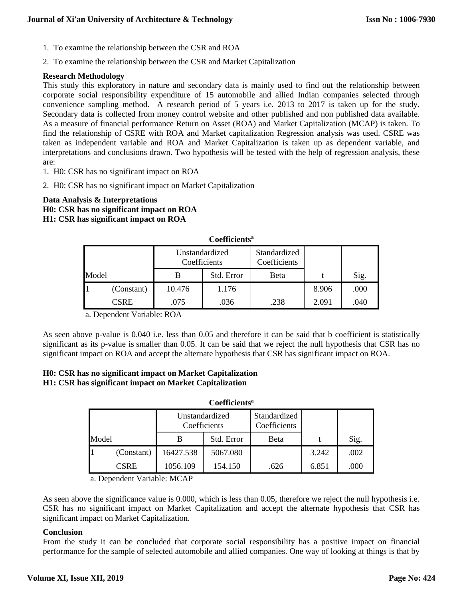- 1. To examine the relationship between the CSR and ROA
- 2. To examine the relationship between the CSR and Market Capitalization

#### **Research Methodology**

This study this exploratory in nature and secondary data is mainly used to find out the relationship between corporate social responsibility expenditure of 15 automobile and allied Indian companies selected through convenience sampling method. A research period of 5 years i.e. 2013 to 2017 is taken up for the study. Secondary data is collected from money control website and other published and non published data available. As a measure of financial performance Return on Asset (ROA) and Market Capitalization (MCAP) is taken. To find the relationship of CSRE with ROA and Market capitalization Regression analysis was used. CSRE was taken as independent variable and ROA and Market Capitalization is taken up as dependent variable, and interpretations and conclusions drawn. Two hypothesis will be tested with the help of regression analysis, these are:

- 1. H0: CSR has no significant impact on ROA
- 2. H0: CSR has no significant impact on Market Capitalization

## **Data Analysis & Interpretations H0: CSR has no significant impact on ROA H1: CSR has significant impact on ROA**

| <b>Countine</b> |             |                                |            |                              |       |      |  |  |  |  |
|-----------------|-------------|--------------------------------|------------|------------------------------|-------|------|--|--|--|--|
|                 |             | Unstandardized<br>Coefficients |            | Standardized<br>Coefficients |       |      |  |  |  |  |
| Model           |             |                                | Std. Error | Beta                         |       | Sig. |  |  |  |  |
|                 | (Constant)  | 10.476                         | 1.176      |                              | 8.906 | .000 |  |  |  |  |
|                 | <b>CSRE</b> | .075                           | .036       | .238                         | 2.091 | .040 |  |  |  |  |

**Coefficients<sup>a</sup>**

a. Dependent Variable: ROA

As seen above p-value is 0.040 i.e. less than 0.05 and therefore it can be said that b coefficient is statistically significant as its p-value is smaller than 0.05. It can be said that we reject the null hypothesis that CSR has no significant impact on ROA and accept the alternate hypothesis that CSR has significant impact on ROA.

#### **H0: CSR has no significant impact on Market Capitalization H1: CSR has significant impact on Market Capitalization**

| Coefficients <sup>a</sup> |            |                                |            |                              |       |      |  |  |  |  |
|---------------------------|------------|--------------------------------|------------|------------------------------|-------|------|--|--|--|--|
|                           |            | Unstandardized<br>Coefficients |            | Standardized<br>Coefficients |       |      |  |  |  |  |
| Model                     |            |                                | Std. Error | Beta                         |       | Sig. |  |  |  |  |
|                           | (Constant) | 16427.538                      | 5067.080   |                              | 3.242 | .002 |  |  |  |  |
|                           | CSRE       | 1056.109                       | 154.150    | .626                         | 6.851 | .000 |  |  |  |  |

a. Dependent Variable: MCAP

As seen above the significance value is 0.000, which is less than 0.05, therefore we reject the null hypothesis i.e. CSR has no significant impact on Market Capitalization and accept the alternate hypothesis that CSR has significant impact on Market Capitalization.

#### **Conclusion**

From the study it can be concluded that corporate social responsibility has a positive impact on financial performance for the sample of selected automobile and allied companies. One way of looking at things is that by